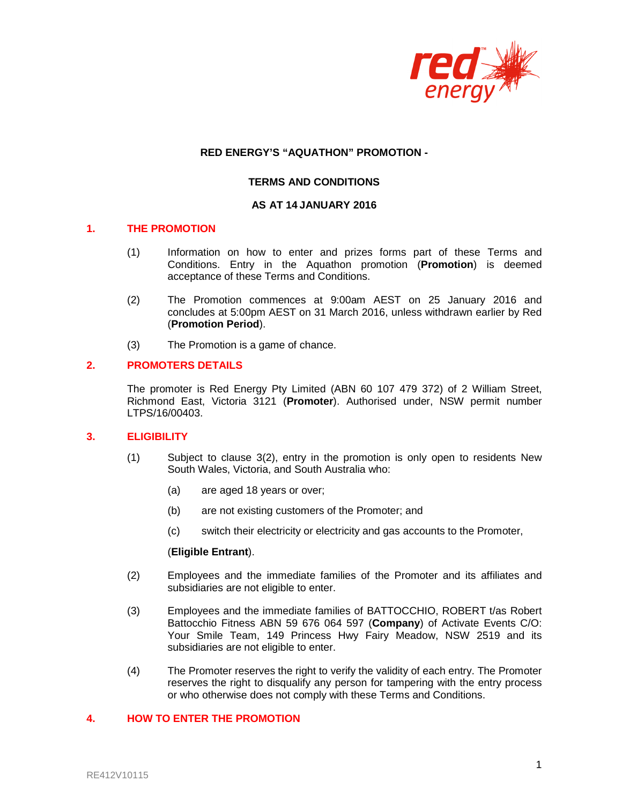

### **RED ENERGY'S "AQUATHON" PROMOTION -**

## **TERMS AND CONDITIONS**

#### **AS AT 14 JANUARY 2016**

#### **1. THE PROMOTION**

- (1) Information on how to enter and prizes forms part of these Terms and Conditions. Entry in the Aquathon promotion (**Promotion**) is deemed acceptance of these Terms and Conditions.
- (2) The Promotion commences at 9:00am AEST on 25 January 2016 and concludes at 5:00pm AEST on 31 March 2016, unless withdrawn earlier by Red (**Promotion Period**).
- (3) The Promotion is a game of chance.

#### **2. PROMOTERS DETAILS**

The promoter is Red Energy Pty Limited (ABN 60 107 479 372) of 2 William Street, Richmond East, Victoria 3121 (**Promoter**). Authorised under, NSW permit number LTPS/16/00403.

# **3. ELIGIBILITY**

- (1) Subject to clause 3(2), entry in the promotion is only open to residents New South Wales, Victoria, and South Australia who:
	- (a) are aged 18 years or over;
	- (b) are not existing customers of the Promoter; and
	- (c) switch their electricity or electricity and gas accounts to the Promoter,

#### (**Eligible Entrant**).

- (2) Employees and the immediate families of the Promoter and its affiliates and subsidiaries are not eligible to enter.
- (3) Employees and the immediate families of BATTOCCHIO, ROBERT t/as Robert Battocchio Fitness ABN 59 676 064 597 (**Company**) of Activate Events C/O: Your Smile Team, 149 Princess Hwy Fairy Meadow, NSW 2519 and its subsidiaries are not eligible to enter.
- (4) The Promoter reserves the right to verify the validity of each entry. The Promoter reserves the right to disqualify any person for tampering with the entry process or who otherwise does not comply with these Terms and Conditions.

#### **4. HOW TO ENTER THE PROMOTION**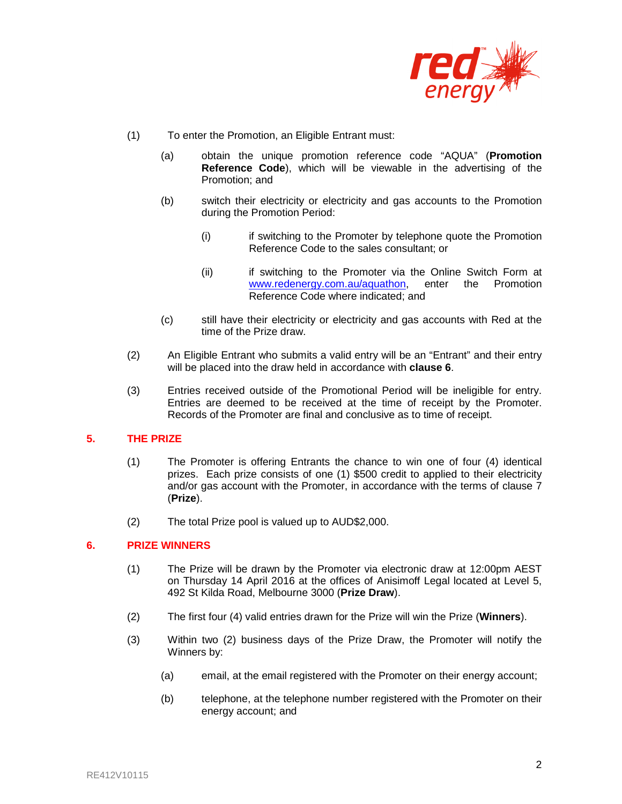

- (1) To enter the Promotion, an Eligible Entrant must:
	- (a) obtain the unique promotion reference code "AQUA" (**Promotion Reference Code**), which will be viewable in the advertising of the Promotion; and
	- (b) switch their electricity or electricity and gas accounts to the Promotion during the Promotion Period:
		- (i) if switching to the Promoter by telephone quote the Promotion Reference Code to the sales consultant; or
		- (ii) if switching to the Promoter via the Online Switch Form at www.redenergy.com.au/aquathon, enter the Promotion Reference Code where indicated; and
	- (c) still have their electricity or electricity and gas accounts with Red at the time of the Prize draw.
- (2) An Eligible Entrant who submits a valid entry will be an "Entrant" and their entry will be placed into the draw held in accordance with **clause 6**.
- (3) Entries received outside of the Promotional Period will be ineligible for entry. Entries are deemed to be received at the time of receipt by the Promoter. Records of the Promoter are final and conclusive as to time of receipt.

## **5. THE PRIZE**

- (1) The Promoter is offering Entrants the chance to win one of four (4) identical prizes. Each prize consists of one (1) \$500 credit to applied to their electricity and/or gas account with the Promoter, in accordance with the terms of clause 7 (**Prize**).
- (2) The total Prize pool is valued up to AUD\$2,000.

### **6. PRIZE WINNERS**

- (1) The Prize will be drawn by the Promoter via electronic draw at 12:00pm AEST on Thursday 14 April 2016 at the offices of Anisimoff Legal located at Level 5, 492 St Kilda Road, Melbourne 3000 (**Prize Draw**).
- (2) The first four (4) valid entries drawn for the Prize will win the Prize (**Winners**).
- (3) Within two (2) business days of the Prize Draw, the Promoter will notify the Winners by:
	- (a) email, at the email registered with the Promoter on their energy account;
	- (b) telephone, at the telephone number registered with the Promoter on their energy account; and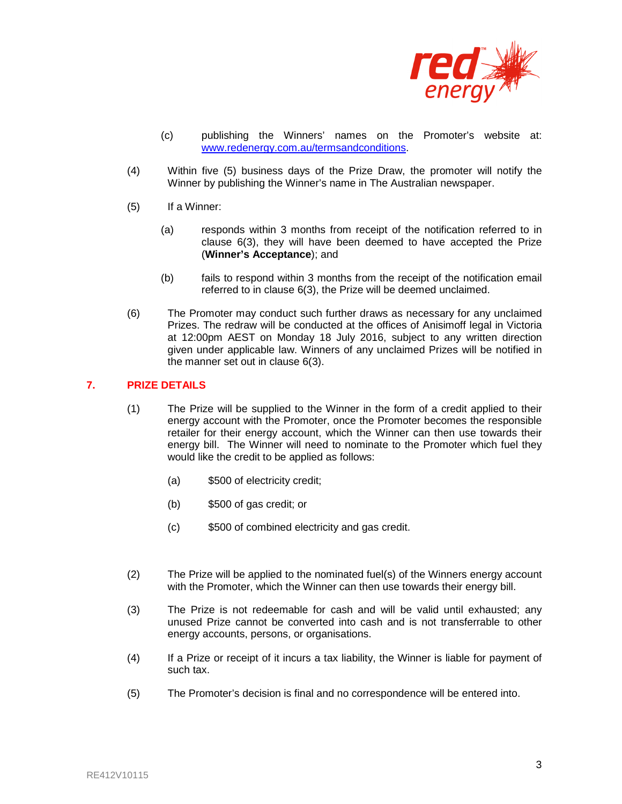

- (c) publishing the Winners' names on the Promoter's website at: www.redenergy.com.au/termsandconditions.
- (4) Within five (5) business days of the Prize Draw, the promoter will notify the Winner by publishing the Winner's name in The Australian newspaper.
- (5) If a Winner:
	- (a) responds within 3 months from receipt of the notification referred to in clause 6(3), they will have been deemed to have accepted the Prize (**Winner's Acceptance**); and
	- (b) fails to respond within 3 months from the receipt of the notification email referred to in clause 6(3), the Prize will be deemed unclaimed.
- (6) The Promoter may conduct such further draws as necessary for any unclaimed Prizes. The redraw will be conducted at the offices of Anisimoff legal in Victoria at 12:00pm AEST on Monday 18 July 2016, subject to any written direction given under applicable law. Winners of any unclaimed Prizes will be notified in the manner set out in clause 6(3).

# **7. PRIZE DETAILS**

- (1) The Prize will be supplied to the Winner in the form of a credit applied to their energy account with the Promoter, once the Promoter becomes the responsible retailer for their energy account, which the Winner can then use towards their energy bill. The Winner will need to nominate to the Promoter which fuel they would like the credit to be applied as follows:
	- (a) \$500 of electricity credit;
	- (b) \$500 of gas credit; or
	- (c) \$500 of combined electricity and gas credit.
- (2) The Prize will be applied to the nominated fuel(s) of the Winners energy account with the Promoter, which the Winner can then use towards their energy bill.
- (3) The Prize is not redeemable for cash and will be valid until exhausted; any unused Prize cannot be converted into cash and is not transferrable to other energy accounts, persons, or organisations.
- (4) If a Prize or receipt of it incurs a tax liability, the Winner is liable for payment of such tax.
- (5) The Promoter's decision is final and no correspondence will be entered into.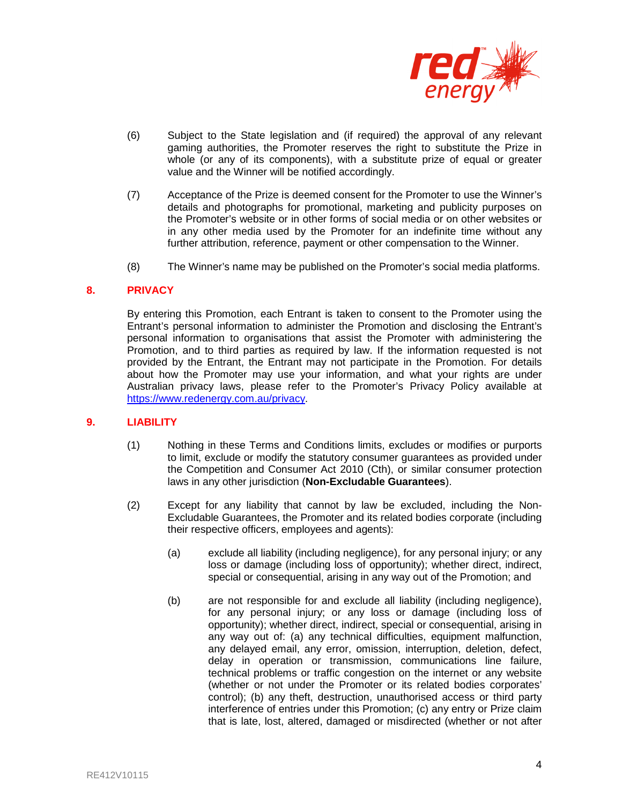

- (6) Subject to the State legislation and (if required) the approval of any relevant gaming authorities, the Promoter reserves the right to substitute the Prize in whole (or any of its components), with a substitute prize of equal or greater value and the Winner will be notified accordingly.
- (7) Acceptance of the Prize is deemed consent for the Promoter to use the Winner's details and photographs for promotional, marketing and publicity purposes on the Promoter's website or in other forms of social media or on other websites or in any other media used by the Promoter for an indefinite time without any further attribution, reference, payment or other compensation to the Winner.
- (8) The Winner's name may be published on the Promoter's social media platforms.

### **8. PRIVACY**

By entering this Promotion, each Entrant is taken to consent to the Promoter using the Entrant's personal information to administer the Promotion and disclosing the Entrant's personal information to organisations that assist the Promoter with administering the Promotion, and to third parties as required by law. If the information requested is not provided by the Entrant, the Entrant may not participate in the Promotion. For details about how the Promoter may use your information, and what your rights are under Australian privacy laws, please refer to the Promoter's Privacy Policy available at https://www.redenergy.com.au/privacy.

#### **9. LIABILITY**

- (1) Nothing in these Terms and Conditions limits, excludes or modifies or purports to limit, exclude or modify the statutory consumer guarantees as provided under the Competition and Consumer Act 2010 (Cth), or similar consumer protection laws in any other jurisdiction (**Non-Excludable Guarantees**).
- (2) Except for any liability that cannot by law be excluded, including the Non-Excludable Guarantees, the Promoter and its related bodies corporate (including their respective officers, employees and agents):
	- (a) exclude all liability (including negligence), for any personal injury; or any loss or damage (including loss of opportunity); whether direct, indirect, special or consequential, arising in any way out of the Promotion; and
	- (b) are not responsible for and exclude all liability (including negligence), for any personal injury; or any loss or damage (including loss of opportunity); whether direct, indirect, special or consequential, arising in any way out of: (a) any technical difficulties, equipment malfunction, any delayed email, any error, omission, interruption, deletion, defect, delay in operation or transmission, communications line failure, technical problems or traffic congestion on the internet or any website (whether or not under the Promoter or its related bodies corporates' control); (b) any theft, destruction, unauthorised access or third party interference of entries under this Promotion; (c) any entry or Prize claim that is late, lost, altered, damaged or misdirected (whether or not after